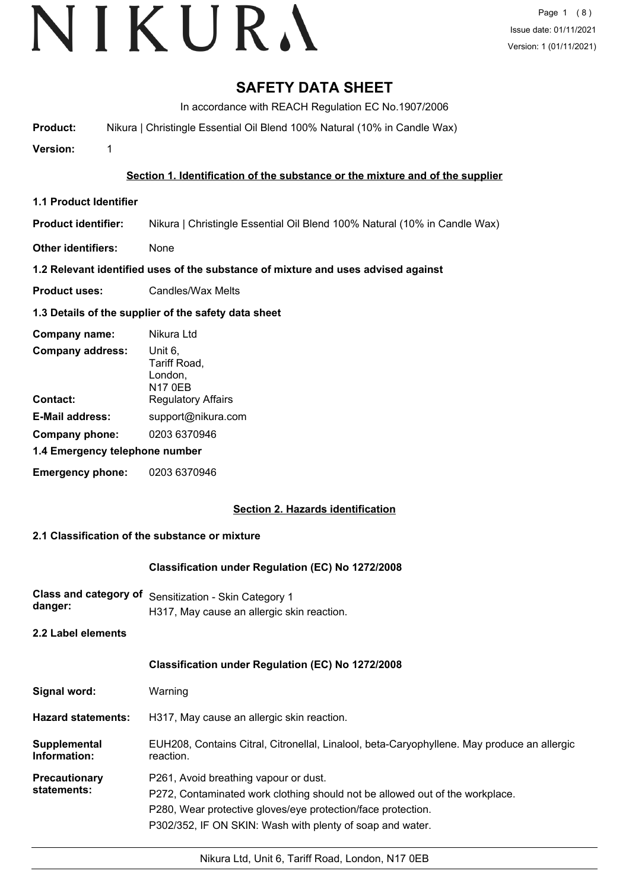# VIKURA

### **SAFETY DATA SHEET**

In accordance with REACH Regulation EC No.1907/2006

**Product:** Nikura | Christingle Essential Oil Blend 100% Natural (10% in Candle Wax)

**Version:** 1

#### **Section 1. Identification of the substance or the mixture and of the supplier**

- **1.1 Product Identifier**
- **Product identifier:** Nikura | Christingle Essential Oil Blend 100% Natural (10% in Candle Wax)
- **Other identifiers:** None

#### **1.2 Relevant identified uses of the substance of mixture and uses advised against**

**Product uses:** Candles/Wax Melts

#### **1.3 Details of the supplier of the safety data sheet**

| Company name:                  | Nikura Ltd                                           |
|--------------------------------|------------------------------------------------------|
| <b>Company address:</b>        | Unit 6,<br>Tariff Road,<br>London,<br><b>N17 0EB</b> |
| Contact:                       | <b>Regulatory Affairs</b>                            |
| <b>E-Mail address:</b>         | support@nikura.com                                   |
| Company phone:                 | 0203 6370946                                         |
| 1.4 Emergency telephone number |                                                      |
| <b>Emergency phone:</b>        | 0203 6370946                                         |

#### **Section 2. Hazards identification**

#### **2.1 Classification of the substance or mixture**

#### **Classification under Regulation (EC) No 1272/2008**

**Class and category of** Sensitization - Skin Category 1 **danger:** H317, May cause an allergic skin reaction.

#### **2.2 Label elements**

|                              | <b>Classification under Regulation (EC) No 1272/2008</b>                                                                                                                                                                                           |
|------------------------------|----------------------------------------------------------------------------------------------------------------------------------------------------------------------------------------------------------------------------------------------------|
| Signal word:                 | Warning                                                                                                                                                                                                                                            |
| <b>Hazard statements:</b>    | H317, May cause an allergic skin reaction.                                                                                                                                                                                                         |
| Supplemental<br>Information: | EUH208, Contains Citral, Citronellal, Linalool, beta-Caryophyllene. May produce an allergic<br>reaction.                                                                                                                                           |
| Precautionary<br>statements: | P261, Avoid breathing vapour or dust.<br>P272, Contaminated work clothing should not be allowed out of the workplace.<br>P280, Wear protective gloves/eye protection/face protection.<br>P302/352, IF ON SKIN: Wash with plenty of soap and water. |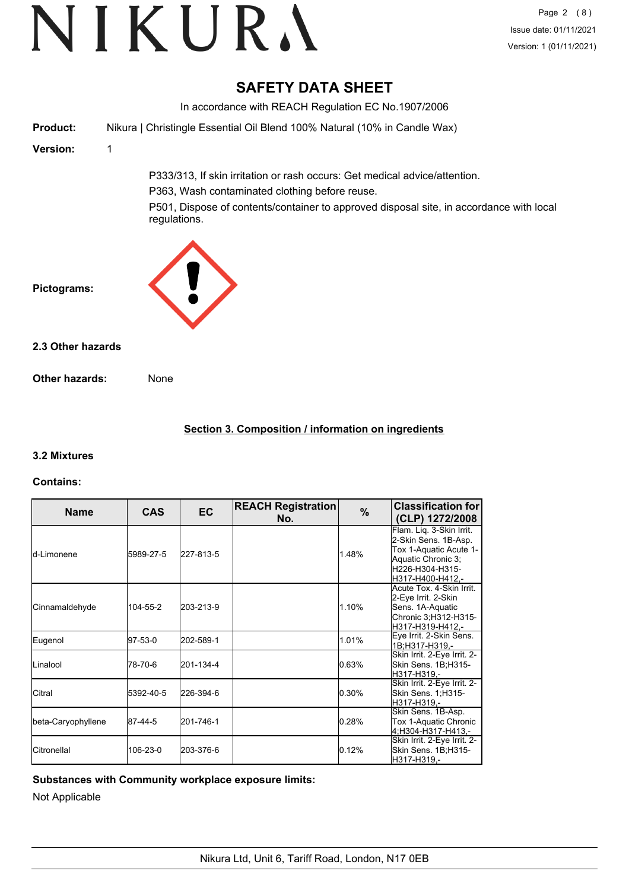### **SAFETY DATA SHEET**

In accordance with REACH Regulation EC No.1907/2006 **Product:** Nikura | Christingle Essential Oil Blend 100% Natural (10% in Candle Wax) **Version:** 1 P333/313, If skin irritation or rash occurs: Get medical advice/attention. P363, Wash contaminated clothing before reuse. P501, Dispose of contents/container to approved disposal site, in accordance with local regulations. **Pictograms: Other hazards:** None **2.3 Other hazards**

#### **Section 3. Composition / information on ingredients**

#### **3.2 Mixtures**

#### **Contains:**

| <b>Name</b>          | <b>CAS</b> | <b>EC</b> | <b>REACH Registration</b><br>No. | $\frac{9}{6}$ | <b>Classification for</b><br>(CLP) 1272/2008                                                                                            |
|----------------------|------------|-----------|----------------------------------|---------------|-----------------------------------------------------------------------------------------------------------------------------------------|
| <b>l</b> d-Limonene  | 5989-27-5  | 227-813-5 |                                  | 1.48%         | Flam. Lig. 3-Skin Irrit.<br>2-Skin Sens. 1B-Asp.<br>Tox 1-Aquatic Acute 1-<br>Aquatic Chronic 3;<br>H226-H304-H315-<br>H317-H400-H412.- |
| Cinnamaldehyde       | 104-55-2   | 203-213-9 |                                  | 1.10%         | Acute Tox. 4-Skin Irrit.<br>2-Eye Irrit. 2-Skin<br>Sens. 1A-Aquatic<br>Chronic 3; H312-H315-<br>H317-H319-H412.-                        |
| Eugenol              | 97-53-0    | 202-589-1 |                                  | 1.01%         | Eye Irrit. 2-Skin Sens.<br>1B:H317-H319.-                                                                                               |
| Linalool             | 78-70-6    | 201-134-4 |                                  | 0.63%         | Skin Irrit. 2-Eye Irrit. 2-<br>Skin Sens. 1B;H315-<br>H317-H319.-                                                                       |
| ICitral              | 5392-40-5  | 226-394-6 |                                  | 0.30%         | Skin Irrit. 2-Eye Irrit. 2-<br>Skin Sens. 1;H315-<br>H317-H319.-                                                                        |
| beta-Caryophyllene   | 87-44-5    | 201-746-1 |                                  | 0.28%         | Skin Sens. 1B-Asp.<br>Tox 1-Aquatic Chronic<br>4, H304-H317-H413, -                                                                     |
| <b>I</b> Citronellal | 106-23-0   | 203-376-6 |                                  | 0.12%         | Skin Irrit. 2-Eye Irrit. 2-<br>Skin Sens. 1B;H315-<br>H317-H319,-                                                                       |

### **Substances with Community workplace exposure limits:**

Not Applicable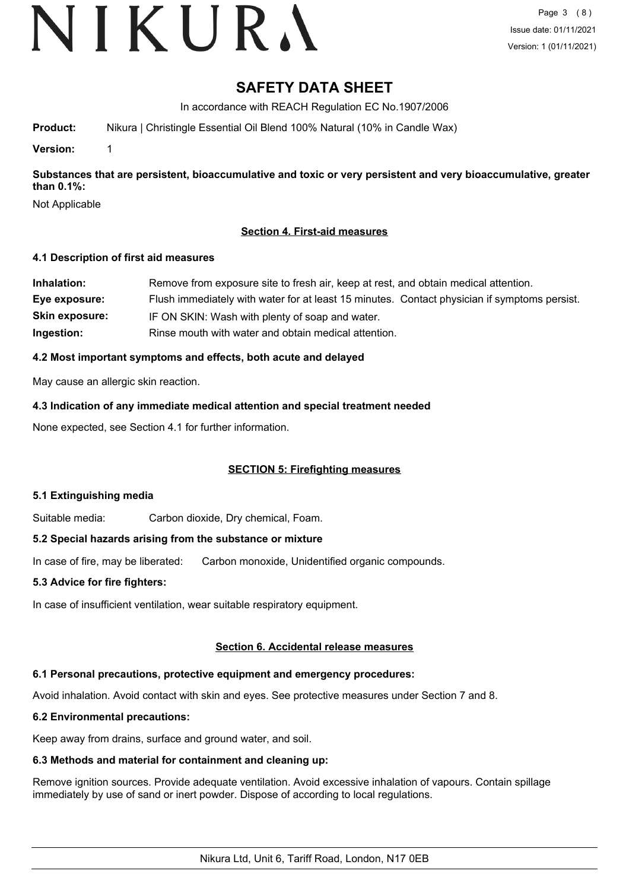# VIKURA

### **SAFETY DATA SHEET**

In accordance with REACH Regulation EC No.1907/2006

**Product:** Nikura | Christingle Essential Oil Blend 100% Natural (10% in Candle Wax)

**Version:** 1

**Substances that are persistent, bioaccumulative and toxic or very persistent and very bioaccumulative, greater than 0.1%:**

Not Applicable

#### **Section 4. First-aid measures**

#### **4.1 Description of first aid measures**

| Inhalation:           | Remove from exposure site to fresh air, keep at rest, and obtain medical attention.          |
|-----------------------|----------------------------------------------------------------------------------------------|
| Eye exposure:         | Flush immediately with water for at least 15 minutes. Contact physician if symptoms persist. |
| <b>Skin exposure:</b> | IF ON SKIN: Wash with plenty of soap and water.                                              |
| Ingestion:            | Rinse mouth with water and obtain medical attention.                                         |

#### **4.2 Most important symptoms and effects, both acute and delayed**

May cause an allergic skin reaction.

**4.3 Indication of any immediate medical attention and special treatment needed**

None expected, see Section 4.1 for further information.

#### **SECTION 5: Firefighting measures**

#### **5.1 Extinguishing media**

Suitable media: Carbon dioxide, Dry chemical, Foam.

#### **5.2 Special hazards arising from the substance or mixture**

In case of fire, may be liberated: Carbon monoxide, Unidentified organic compounds.

#### **5.3 Advice for fire fighters:**

In case of insufficient ventilation, wear suitable respiratory equipment.

#### **Section 6. Accidental release measures**

#### **6.1 Personal precautions, protective equipment and emergency procedures:**

Avoid inhalation. Avoid contact with skin and eyes. See protective measures under Section 7 and 8.

#### **6.2 Environmental precautions:**

Keep away from drains, surface and ground water, and soil.

#### **6.3 Methods and material for containment and cleaning up:**

Remove ignition sources. Provide adequate ventilation. Avoid excessive inhalation of vapours. Contain spillage immediately by use of sand or inert powder. Dispose of according to local regulations.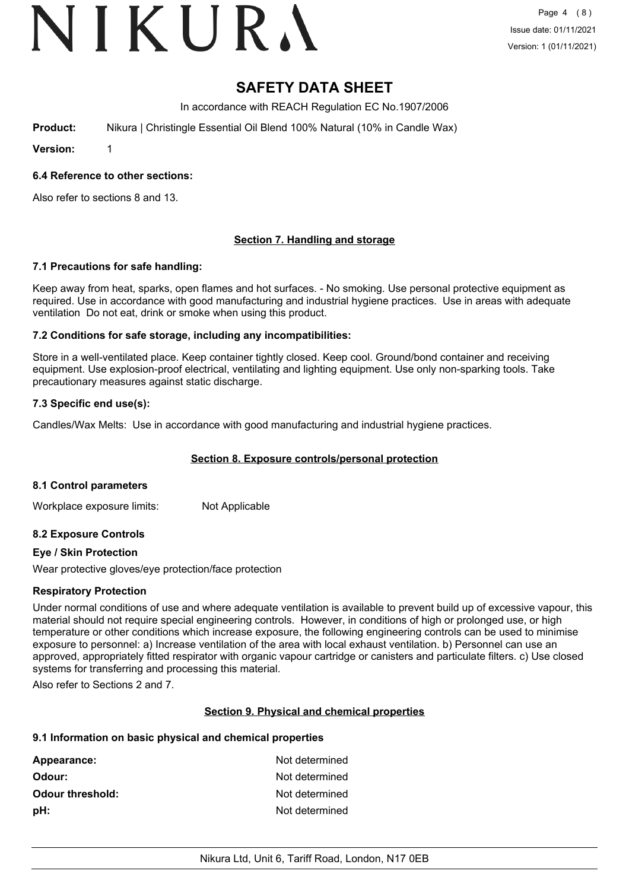# VIKURA

### **SAFETY DATA SHEET**

In accordance with REACH Regulation EC No.1907/2006

**Product:** Nikura | Christingle Essential Oil Blend 100% Natural (10% in Candle Wax)

**Version:** 1

#### **6.4 Reference to other sections:**

Also refer to sections 8 and 13.

#### **Section 7. Handling and storage**

#### **7.1 Precautions for safe handling:**

Keep away from heat, sparks, open flames and hot surfaces. - No smoking. Use personal protective equipment as required. Use in accordance with good manufacturing and industrial hygiene practices. Use in areas with adequate ventilation Do not eat, drink or smoke when using this product.

#### **7.2 Conditions for safe storage, including any incompatibilities:**

Store in a well-ventilated place. Keep container tightly closed. Keep cool. Ground/bond container and receiving equipment. Use explosion-proof electrical, ventilating and lighting equipment. Use only non-sparking tools. Take precautionary measures against static discharge.

#### **7.3 Specific end use(s):**

Candles/Wax Melts: Use in accordance with good manufacturing and industrial hygiene practices.

#### **Section 8. Exposure controls/personal protection**

#### **8.1 Control parameters**

Workplace exposure limits: Not Applicable

#### **8.2 Exposure Controls**

#### **Eye / Skin Protection**

Wear protective gloves/eye protection/face protection

#### **Respiratory Protection**

Under normal conditions of use and where adequate ventilation is available to prevent build up of excessive vapour, this material should not require special engineering controls. However, in conditions of high or prolonged use, or high temperature or other conditions which increase exposure, the following engineering controls can be used to minimise exposure to personnel: a) Increase ventilation of the area with local exhaust ventilation. b) Personnel can use an approved, appropriately fitted respirator with organic vapour cartridge or canisters and particulate filters. c) Use closed systems for transferring and processing this material.

Also refer to Sections 2 and 7.

#### **Section 9. Physical and chemical properties**

#### **9.1 Information on basic physical and chemical properties**

| Appearance:             | Not determined |
|-------------------------|----------------|
| Odour:                  | Not determined |
| <b>Odour threshold:</b> | Not determined |
| pH:                     | Not determined |
|                         |                |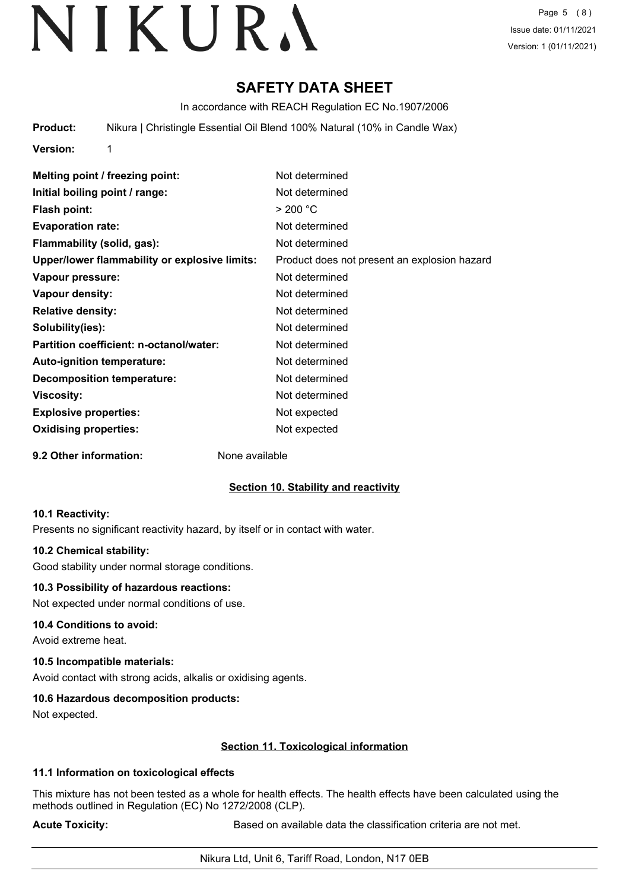Page 5 (8) Issue date: 01/11/2021 Version: 1 (01/11/2021)

### **SAFETY DATA SHEET**

In accordance with REACH Regulation EC No.1907/2006

**Product:** Nikura | Christingle Essential Oil Blend 100% Natural (10% in Candle Wax)

**Version:** 1

| Melting point / freezing point:               | Not determined                               |
|-----------------------------------------------|----------------------------------------------|
| Initial boiling point / range:                | Not determined                               |
| <b>Flash point:</b>                           | > 200 °C                                     |
| <b>Evaporation rate:</b>                      | Not determined                               |
| Flammability (solid, gas):                    | Not determined                               |
| Upper/lower flammability or explosive limits: | Product does not present an explosion hazard |
| Vapour pressure:                              | Not determined                               |
| <b>Vapour density:</b>                        | Not determined                               |
| <b>Relative density:</b>                      | Not determined                               |
| Solubility(ies):                              | Not determined                               |
| Partition coefficient: n-octanol/water:       | Not determined                               |
| Auto-ignition temperature:                    | Not determined                               |
| <b>Decomposition temperature:</b>             | Not determined                               |
| Viscosity:                                    | Not determined                               |
| <b>Explosive properties:</b>                  | Not expected                                 |
| <b>Oxidising properties:</b>                  | Not expected                                 |
|                                               |                                              |

**9.2 Other information:** None available

#### **Section 10. Stability and reactivity**

#### **10.1 Reactivity:**

Presents no significant reactivity hazard, by itself or in contact with water.

#### **10.2 Chemical stability:**

Good stability under normal storage conditions.

#### **10.3 Possibility of hazardous reactions:**

Not expected under normal conditions of use.

#### **10.4 Conditions to avoid:**

Avoid extreme heat.

#### **10.5 Incompatible materials:**

Avoid contact with strong acids, alkalis or oxidising agents.

#### **10.6 Hazardous decomposition products:**

Not expected.

#### **Section 11. Toxicological information**

#### **11.1 Information on toxicological effects**

This mixture has not been tested as a whole for health effects. The health effects have been calculated using the methods outlined in Regulation (EC) No 1272/2008 (CLP).

**Acute Toxicity: Acute Toxicity: Based on available data the classification criteria are not met.**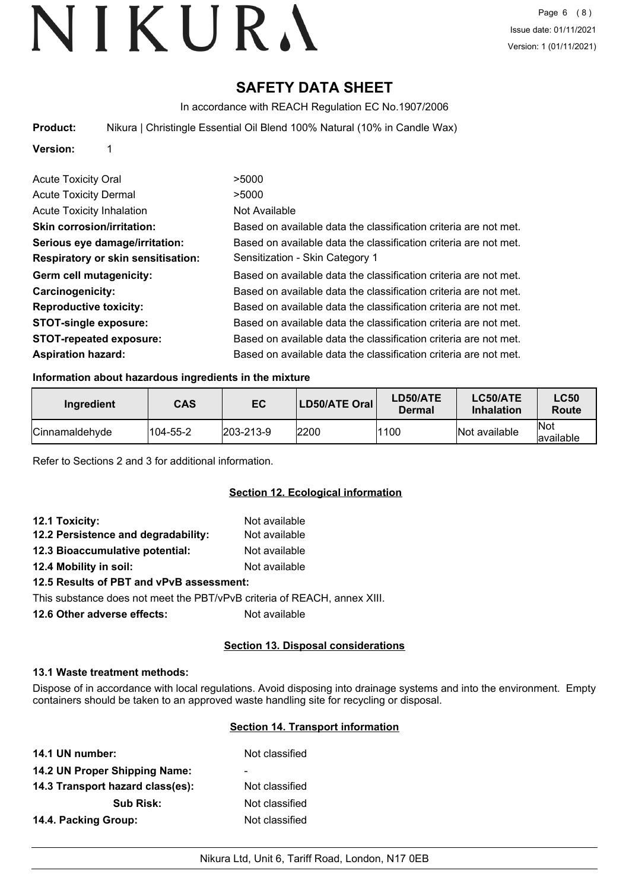### **SAFETY DATA SHEET**

In accordance with REACH Regulation EC No.1907/2006

**Product:** Nikura | Christingle Essential Oil Blend 100% Natural (10% in Candle Wax)

#### **Version:** 1

| <b>Acute Toxicity Oral</b>                | >5000                                                            |
|-------------------------------------------|------------------------------------------------------------------|
| <b>Acute Toxicity Dermal</b>              | >5000                                                            |
| <b>Acute Toxicity Inhalation</b>          | Not Available                                                    |
| <b>Skin corrosion/irritation:</b>         | Based on available data the classification criteria are not met. |
| Serious eye damage/irritation:            | Based on available data the classification criteria are not met. |
| <b>Respiratory or skin sensitisation:</b> | Sensitization - Skin Category 1                                  |
| Germ cell mutagenicity:                   | Based on available data the classification criteria are not met. |
| <b>Carcinogenicity:</b>                   | Based on available data the classification criteria are not met. |
| <b>Reproductive toxicity:</b>             | Based on available data the classification criteria are not met. |
| <b>STOT-single exposure:</b>              | Based on available data the classification criteria are not met. |
| <b>STOT-repeated exposure:</b>            | Based on available data the classification criteria are not met. |
| <b>Aspiration hazard:</b>                 | Based on available data the classification criteria are not met. |

#### **Information about hazardous ingredients in the mixture**

| Ingredient     | <b>CAS</b> | EC                | LD50/ATE Oral | LD50/ATE<br>Dermal | <b>LC50/ATE</b><br>Inhalation | <b>LC50</b><br>Route     |
|----------------|------------|-------------------|---------------|--------------------|-------------------------------|--------------------------|
| Cinnamaldehyde | 104-55-2   | $ 203 - 213 - 9 $ | 2200          | 1100               | Not available                 | <b>Not</b><br>lavailable |

Refer to Sections 2 and 3 for additional information.

#### **Section 12. Ecological information**

| 12.1 Toxicity:                                                                                                                                                                                                  | Not available |
|-----------------------------------------------------------------------------------------------------------------------------------------------------------------------------------------------------------------|---------------|
| 12.2 Persistence and degradability:                                                                                                                                                                             | Not available |
| 12.3 Bioaccumulative potential:                                                                                                                                                                                 | Not available |
| 12.4 Mobility in soil:                                                                                                                                                                                          | Not available |
| $\mathbf{A} \bullet \mathbf{B}$ is a set of $\mathbf{A} \bullet \mathbf{B}$ is a set of $\mathbf{A} \bullet \mathbf{B}$ is a set of $\mathbf{A} \bullet \mathbf{B}$ is a set of $\mathbf{A} \bullet \mathbf{B}$ |               |

#### **12.5 Results of PBT and vPvB assessment:**

This substance does not meet the PBT/vPvB criteria of REACH, annex XIII.

**12.6 Other adverse effects:** Not available

#### **Section 13. Disposal considerations**

#### **13.1 Waste treatment methods:**

Dispose of in accordance with local regulations. Avoid disposing into drainage systems and into the environment. Empty containers should be taken to an approved waste handling site for recycling or disposal.

#### **Section 14. Transport information**

| 14.1 UN number:                  | Not classified           |
|----------------------------------|--------------------------|
| 14.2 UN Proper Shipping Name:    | $\overline{\phantom{0}}$ |
| 14.3 Transport hazard class(es): | Not classified           |
| <b>Sub Risk:</b>                 | Not classified           |
| 14.4. Packing Group:             | Not classified           |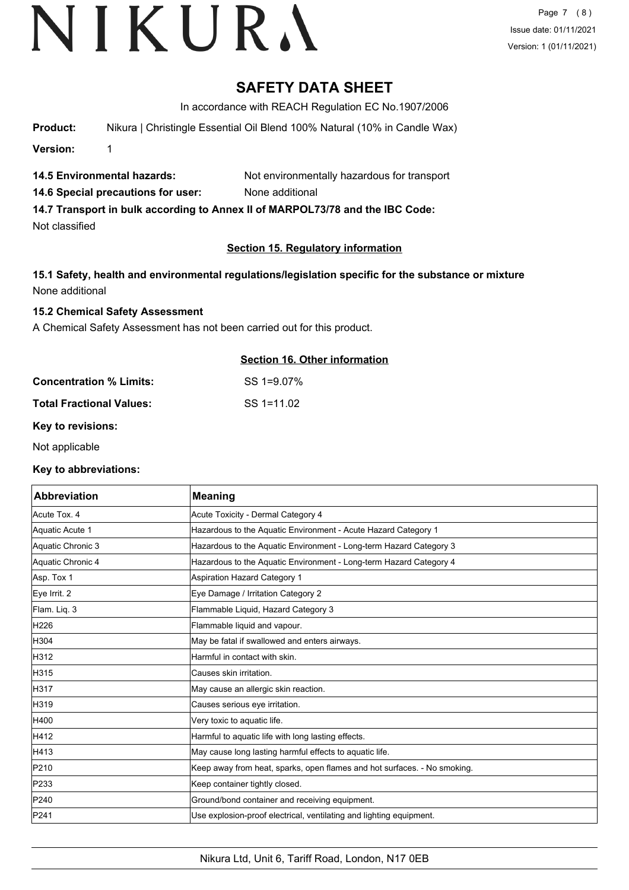### **SAFETY DATA SHEET**

In accordance with REACH Regulation EC No.1907/2006

**Product:** Nikura | Christingle Essential Oil Blend 100% Natural (10% in Candle Wax)

**Version:** 1

**14.5 Environmental hazards:** Not environmentally hazardous for transport

**14.6 Special precautions for user:** None additional

**14.7 Transport in bulk according to Annex II of MARPOL73/78 and the IBC Code:**

Not classified

#### **Section 15. Regulatory information**

**15.1 Safety, health and environmental regulations/legislation specific for the substance or mixture** None additional

#### **15.2 Chemical Safety Assessment**

A Chemical Safety Assessment has not been carried out for this product.

#### **Section 16. Other information**

**Concentration % Limits:** SS 1=9.07%

**Total Fractional Values:** SS 1=11.02

#### **Key to revisions:**

Not applicable

#### **Key to abbreviations:**

| <b>Abbreviation</b> | <b>Meaning</b>                                                           |
|---------------------|--------------------------------------------------------------------------|
| Acute Tox. 4        | Acute Toxicity - Dermal Category 4                                       |
| Aquatic Acute 1     | Hazardous to the Aquatic Environment - Acute Hazard Category 1           |
| Aquatic Chronic 3   | Hazardous to the Aquatic Environment - Long-term Hazard Category 3       |
| Aquatic Chronic 4   | Hazardous to the Aquatic Environment - Long-term Hazard Category 4       |
| Asp. Tox 1          | <b>Aspiration Hazard Category 1</b>                                      |
| Eye Irrit. 2        | Eye Damage / Irritation Category 2                                       |
| Flam. Lig. 3        | Flammable Liquid, Hazard Category 3                                      |
| H226                | Flammable liquid and vapour.                                             |
| H304                | May be fatal if swallowed and enters airways.                            |
| H312                | Harmful in contact with skin.                                            |
| H315                | Causes skin irritation.                                                  |
| H317                | May cause an allergic skin reaction.                                     |
| H319                | Causes serious eye irritation.                                           |
| H400                | Very toxic to aquatic life.                                              |
| H412                | Harmful to aquatic life with long lasting effects.                       |
| H413                | May cause long lasting harmful effects to aquatic life.                  |
| P210                | Keep away from heat, sparks, open flames and hot surfaces. - No smoking. |
| P233                | Keep container tightly closed.                                           |
| P240                | Ground/bond container and receiving equipment.                           |
| P241                | Use explosion-proof electrical, ventilating and lighting equipment.      |